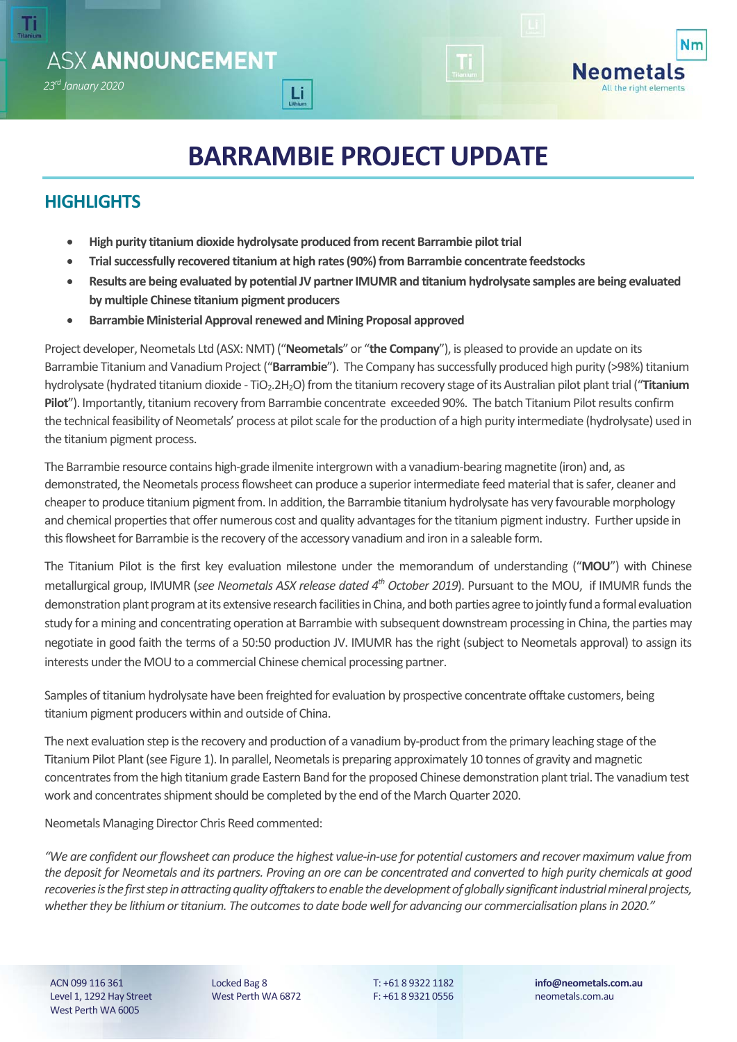## **HIGHLIGHTS**

*23rd January 2020* 

**ASX ANNOUNCEMENT** 

m

**High purity titanium dioxide hydrolysate produced from recent Barrambie pilot trial** 

 $\mathbf{L}$ i

- **Trial successfully recovered titanium at high rates (90%) from Barrambie concentrate feedstocks**
- **Results are being evaluated by potential JV partner IMUMR and titanium hydrolysate samples are being evaluated by multiple Chinese titanium pigment producers**
- **Barrambie Ministerial Approval renewed and Mining Proposal approved**

Project developer, Neometals Ltd (ASX: NMT) ("**Neometals**" or "**the Company**"), is pleased to provide an update on its Barrambie Titanium and Vanadium Project ("**Barrambie**"). The Company has successfully produced high purity (>98%) titanium hydrolysate (hydrated titanium dioxide ‐ TiO2.2H2O) from the titanium recovery stage of its Australian pilot plant trial ("**Titanium Pilot**"). Importantly, titanium recovery from Barrambie concentrate exceeded 90%. The batch Titanium Pilot results confirm the technical feasibility of Neometals' process at pilot scale for the production of a high purity intermediate (hydrolysate) used in the titanium pigment process.

The Barrambie resource contains high‐grade ilmenite intergrown with a vanadium‐bearing magnetite (iron) and, as demonstrated, the Neometals process flowsheet can produce a superior intermediate feed material that is safer, cleaner and cheaper to produce titanium pigment from. In addition, the Barrambie titanium hydrolysate has very favourable morphology and chemical properties that offer numerous cost and quality advantages for the titanium pigment industry. Further upside in this flowsheet for Barrambie is the recovery of the accessory vanadium and iron in a saleable form.

The Titanium Pilot is the first key evaluation milestone under the memorandum of understanding ("**MOU**") with Chinese metallurgical group, IMUMR (*see Neometals ASX release dated 4th October 2019*). Pursuant to the MOU, if IMUMR funds the demonstration plant program at its extensive research facilities in China, and both parties agree to jointly fund a formal evaluation study for a mining and concentrating operation at Barrambie with subsequent downstream processing in China, the parties may negotiate in good faith the terms of a 50:50 production JV. IMUMR has the right (subject to Neometals approval) to assign its interests under the MOU to a commercial Chinese chemical processing partner.

Samples of titanium hydrolysate have been freighted for evaluation by prospective concentrate offtake customers, being titanium pigment producers within and outside of China.

The next evaluation step is the recovery and production of a vanadium by-product from the primary leaching stage of the Titanium Pilot Plant (see Figure 1). In parallel, Neometals is preparing approximately 10 tonnes of gravity and magnetic concentrates from the high titanium grade Eastern Band for the proposed Chinese demonstration plant trial. The vanadium test work and concentrates shipment should be completed by the end of the March Quarter 2020.

Neometals Managing Director Chris Reed commented:

*"We are confident our flowsheet can produce the highest value‐in‐use for potential customers and recover maximum value from the deposit for Neometals and its partners. Proving an ore can be concentrated and converted to high purity chemicals at good recoveries is the first step in attracting quality offtakers to enable the development of globally significant industrial mineral projects, whether they be lithium or titanium. The outcomes to date bode well for advancing our commercialisation plans in 2020."* 

ACN 099 116 361 Level 1, 1292 Hay Street West Perth WA 6005

Locked Bag 8 West Perth WA 6872 T: +61 8 9322 1182 F: +61 8 9321 0556 **info@neometals.com.au**  neometals.com.au

**Nm** 

All the right elements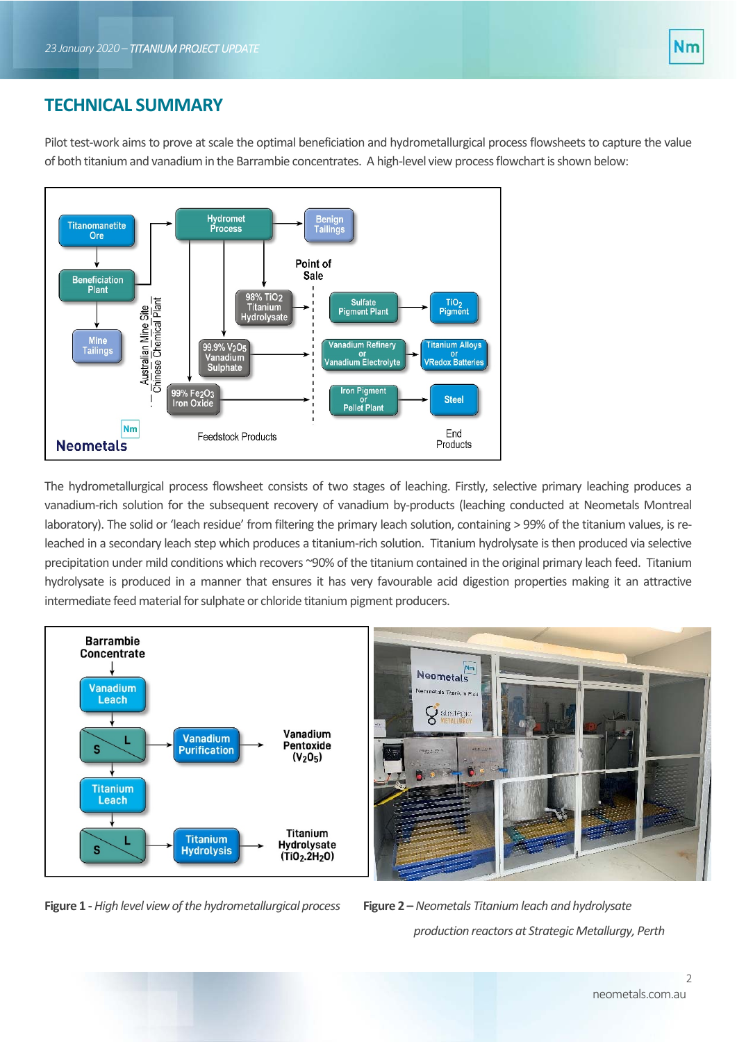### **TECHNICAL SUMMARY**

Pilot test-work aims to prove at scale the optimal beneficiation and hydrometallurgical process flowsheets to capture the value of both titanium and vanadium in the Barrambie concentrates. A high-level view process flowchart is shown below:



The hydrometallurgical process flowsheet consists of two stages of leaching. Firstly, selective primary leaching produces a vanadium‐rich solution for the subsequent recovery of vanadium by‐products (leaching conducted at Neometals Montreal laboratory). The solid or 'leach residue' from filtering the primary leach solution, containing > 99% of the titanium values, is releached in a secondary leach step which produces a titanium‐rich solution. Titanium hydrolysate is then produced via selective precipitation under mild conditions which recovers ~90% of the titanium contained in the original primary leach feed. Titanium hydrolysate is produced in a manner that ensures it has very favourable acid digestion properties making it an attractive intermediate feed material for sulphate or chloride titanium pigment producers.



**Figure 1 ‐** *High level view of the hydrometallurgical process* **Figure 2 –***Neometals Titanium leach and hydrolysate* 

 *production reactors at Strategic Metallurgy, Perth*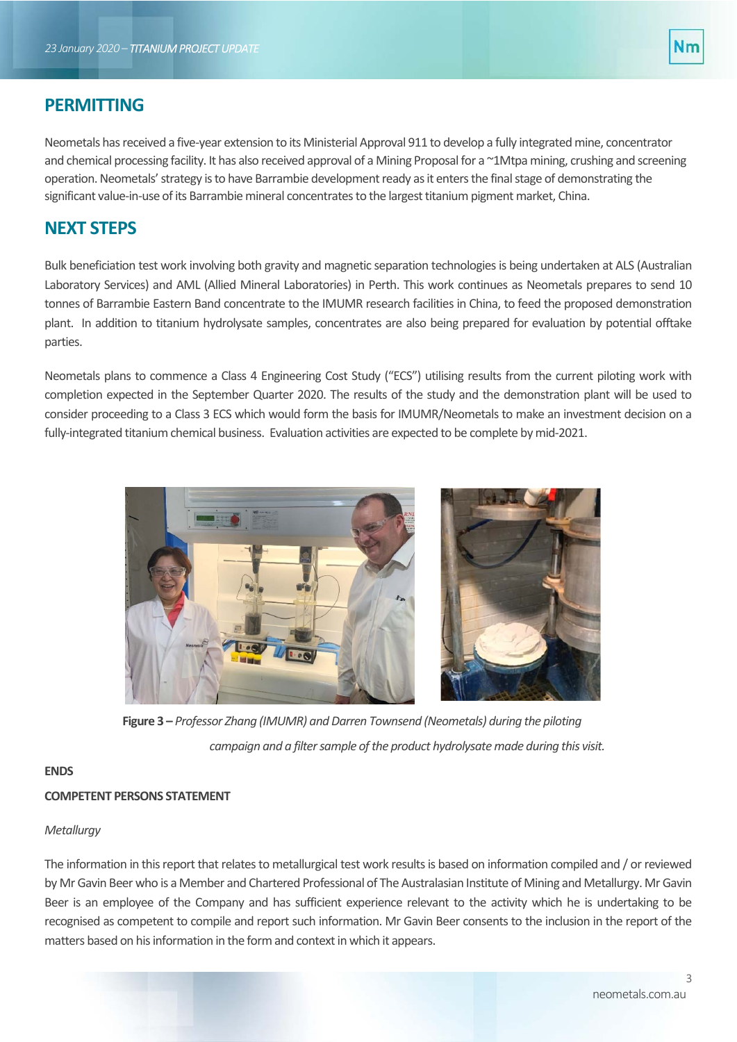

### **PERMITTING**

Neometals has received a five-year extension to its Ministerial Approval 911 to develop a fully integrated mine, concentrator and chemical processing facility. It has also received approval of a Mining Proposal for a ~1Mtpa mining, crushing and screening operation. Neometals' strategy is to have Barrambie development ready as it enters the final stage of demonstrating the significant value-in-use of its Barrambie mineral concentrates to the largest titanium pigment market, China.

### **NEXT STEPS**

Bulk beneficiation test work involving both gravity and magnetic separation technologies is being undertaken at ALS (Australian Laboratory Services) and AML (Allied Mineral Laboratories) in Perth. This work continues as Neometals prepares to send 10 tonnes of Barrambie Eastern Band concentrate to the IMUMR research facilities in China, to feed the proposed demonstration plant. In addition to titanium hydrolysate samples, concentrates are also being prepared for evaluation by potential offtake parties.

Neometals plans to commence a Class 4 Engineering Cost Study ("ECS") utilising results from the current piloting work with completion expected in the September Quarter 2020. The results of the study and the demonstration plant will be used to consider proceeding to a Class 3 ECS which would form the basis for IMUMR/Neometals to make an investment decision on a fully-integrated titanium chemical business. Evaluation activities are expected to be complete by mid-2021.



**Figure 3 –** *Professor Zhang (IMUMR) and Darren Townsend (Neometals) during the piloting campaign and a filter sample of the product hydrolysate made during this visit.*

#### **ENDS**

#### **COMPETENT PERSONS STATEMENT**

#### *Metallurgy*

The information in this report that relates to metallurgical test work results is based on information compiled and / or reviewed by Mr Gavin Beer who is a Member and Chartered Professional of The Australasian Institute of Mining and Metallurgy. Mr Gavin Beer is an employee of the Company and has sufficient experience relevant to the activity which he is undertaking to be recognised as competent to compile and report such information. Mr Gavin Beer consents to the inclusion in the report of the matters based on his information in the form and context in which it appears.

3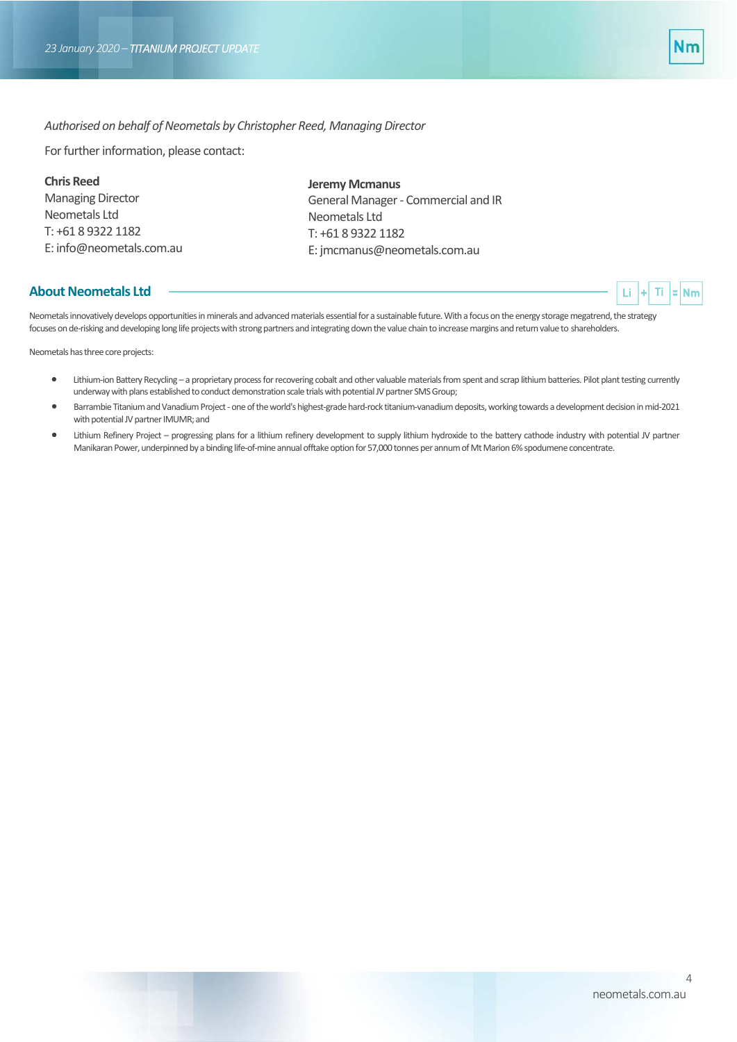Τi

#### *Authorised on behalf of Neometals by Christopher Reed, Managing Director*

For further information, please contact:

#### **Chris Reed** Managing Director Neometals Ltd T: +61 8 9322 1182 E: info@neometals.com.au

**Jeremy Mcmanus**  General Manager ‐ Commercial and IR Neometals Ltd T: +61 8 9322 1182 E: jmcmanus@neometals.com.au

#### **About Neometals Ltd**

Neometals innovatively develops opportunities in minerals and advanced materials essential for a sustainable future. With a focus on the energy storage megatrend, the strategy focuses on de-risking and developing long life projects with strong partners and integrating down the value chain to increase margins and return value to shareholders.

Neometals has three core projects:

- Lithium‐ion Battery Recycling a proprietary process for recovering cobalt and other valuable materials from spent and scrap lithium batteries. Pilot plant testing currently underway with plans established to conduct demonstration scale trials with potential JV partner SMS Group;
- Barrambie Titanium and Vanadium Project ‐ one of the world's highest‐grade hard‐rock titanium‐vanadium deposits, working towards a development decision in mid‐2021 with potential JV partner IMUMR; and
- Lithium Refinery Project progressing plans for a lithium refinery development to supply lithium hydroxide to the battery cathode industry with potential JV partner Manikaran Power, underpinned by a binding life‐of‐mine annual offtake option for 57,000 tonnes per annum of Mt Marion 6% spodumene concentrate.

 $\Delta$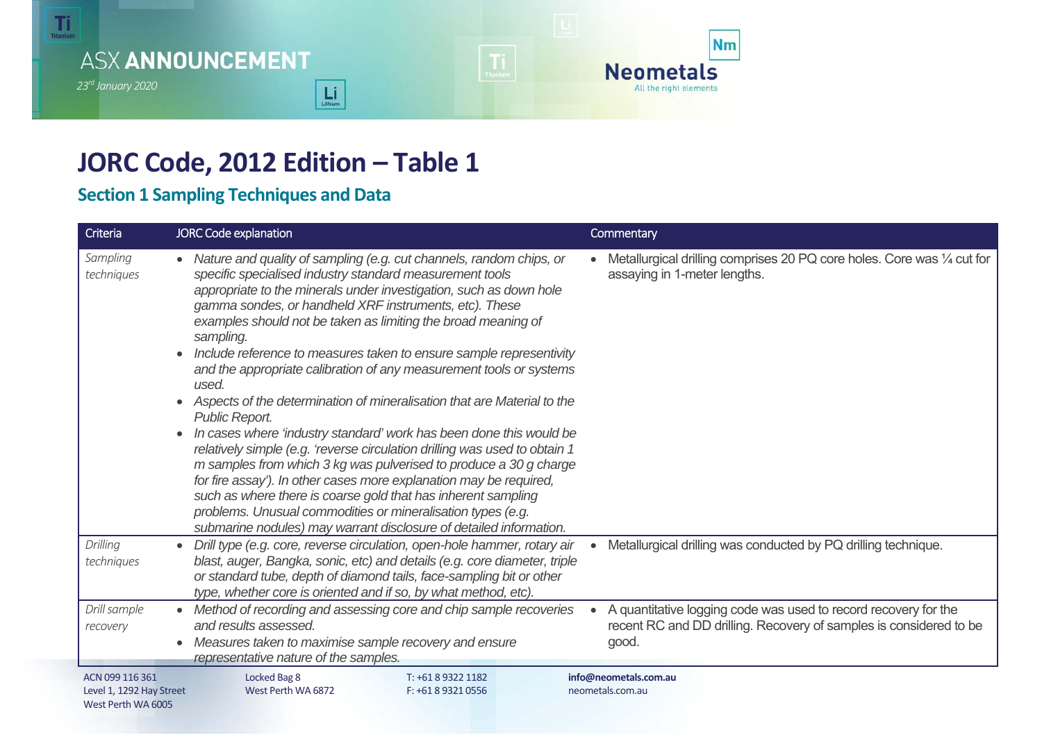# **ASX ANNOUNCEMENT**

*23rd January 2020* 

# $\boxed{\coprod\limits_{\text{Lithium}}% {\begin{array}{ccccc} \text{Lip}_{\text{Lip}} & \text{Lip}_{\text{Lip}} & \text{Lip}_{\text{Lip}} \\ \text{Lip}_{\text{Lip}} & \text{Lip}_{\text{Lip}} & \text{Lip}_{\text{Lip}} & \text{Lip}_{\text{Lip}} \\ \text{Lip}_{\text{Lip}} & \text{Lip}_{\text{Lip}} & \text{Lip}_{\text{Lip}} & \text{Lip}_{\text{Lip}} \\ \text{Lip}_{\text{Lip}} & \text{Lip}_{\text{Lip}} & \text{Lip}_{\text{Lip}} & \text{Lip}_{\text{Lip}} \\ \$

# **JORC Code, 2012 Edition – Table 1**

## **Section 1 Sampling Techniques and Data**

| Criteria                                                          | <b>JORC Code explanation</b>                                                                                                                                                                                                                                                                                                                                                                                                                                                                                                                                                                                                                                                                                                                                                                                                                                                                                                                                                                                                                                                                                                                   | Commentary                                                                                                                                     |
|-------------------------------------------------------------------|------------------------------------------------------------------------------------------------------------------------------------------------------------------------------------------------------------------------------------------------------------------------------------------------------------------------------------------------------------------------------------------------------------------------------------------------------------------------------------------------------------------------------------------------------------------------------------------------------------------------------------------------------------------------------------------------------------------------------------------------------------------------------------------------------------------------------------------------------------------------------------------------------------------------------------------------------------------------------------------------------------------------------------------------------------------------------------------------------------------------------------------------|------------------------------------------------------------------------------------------------------------------------------------------------|
| Sampling<br>techniques                                            | Nature and quality of sampling (e.g. cut channels, random chips, or<br>specific specialised industry standard measurement tools<br>appropriate to the minerals under investigation, such as down hole<br>gamma sondes, or handheld XRF instruments, etc). These<br>examples should not be taken as limiting the broad meaning of<br>sampling.<br>Include reference to measures taken to ensure sample representivity<br>$\bullet$<br>and the appropriate calibration of any measurement tools or systems<br>used.<br>Aspects of the determination of mineralisation that are Material to the<br>$\bullet$<br>Public Report.<br>In cases where 'industry standard' work has been done this would be<br>$\bullet$<br>relatively simple (e.g. 'reverse circulation drilling was used to obtain 1<br>m samples from which 3 kg was pulverised to produce a 30 g charge<br>for fire assay'). In other cases more explanation may be required,<br>such as where there is coarse gold that has inherent sampling<br>problems. Unusual commodities or mineralisation types (e.g.<br>submarine nodules) may warrant disclosure of detailed information. | Metallurgical drilling comprises 20 PQ core holes. Core was 1/4 cut for<br>assaying in 1-meter lengths.                                        |
| Drilling<br>techniques                                            | Drill type (e.g. core, reverse circulation, open-hole hammer, rotary air<br>blast, auger, Bangka, sonic, etc) and details (e.g. core diameter, triple<br>or standard tube, depth of diamond tails, face-sampling bit or other<br>type, whether core is oriented and if so, by what method, etc).                                                                                                                                                                                                                                                                                                                                                                                                                                                                                                                                                                                                                                                                                                                                                                                                                                               | Metallurgical drilling was conducted by PQ drilling technique.                                                                                 |
| Drill sample<br>recovery                                          | Method of recording and assessing core and chip sample recoveries<br>and results assessed.<br>Measures taken to maximise sample recovery and ensure<br>$\bullet$<br>representative nature of the samples.                                                                                                                                                                                                                                                                                                                                                                                                                                                                                                                                                                                                                                                                                                                                                                                                                                                                                                                                      | A quantitative logging code was used to record recovery for the<br>recent RC and DD drilling. Recovery of samples is considered to be<br>good. |
| ACN 099 116 361<br>Level 1, 1292 Hay Street<br>West Perth WA 6005 | Locked Bag 8<br>T: +61 8 9322 1182<br>West Perth WA 6872<br>F: +61 8 9321 0556                                                                                                                                                                                                                                                                                                                                                                                                                                                                                                                                                                                                                                                                                                                                                                                                                                                                                                                                                                                                                                                                 | info@neometals.com.au<br>neometals.com.au                                                                                                      |

**Nm** 

**Neometals** 

All the right elements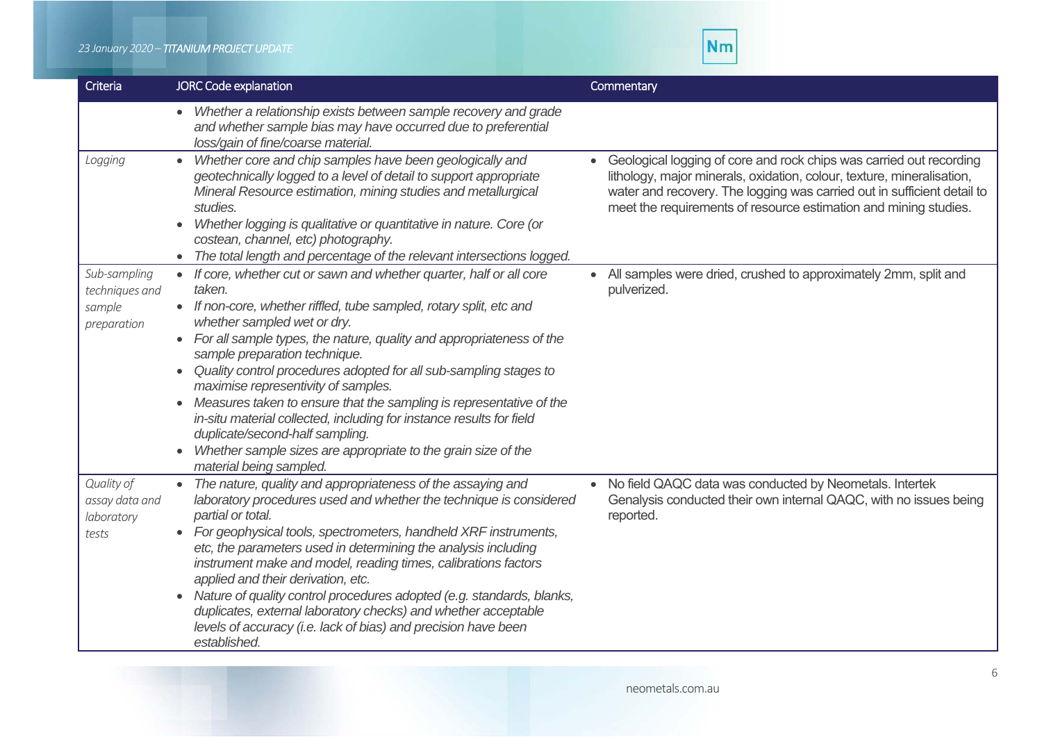#### *23 January 2020 – TITANIUM PROJECT UPDATE*

| Criteria                                                | <b>JORC Code explanation</b>                                                                                                                                                                                                                                                                                                                                                                                                                                                                                                                                                                                                                                                                       | Commentary                                                                                                                                                                                                                                                                                     |
|---------------------------------------------------------|----------------------------------------------------------------------------------------------------------------------------------------------------------------------------------------------------------------------------------------------------------------------------------------------------------------------------------------------------------------------------------------------------------------------------------------------------------------------------------------------------------------------------------------------------------------------------------------------------------------------------------------------------------------------------------------------------|------------------------------------------------------------------------------------------------------------------------------------------------------------------------------------------------------------------------------------------------------------------------------------------------|
|                                                         | Whether a relationship exists between sample recovery and grade<br>and whether sample bias may have occurred due to preferential<br>loss/gain of fine/coarse material.                                                                                                                                                                                                                                                                                                                                                                                                                                                                                                                             |                                                                                                                                                                                                                                                                                                |
| Logging                                                 | Whether core and chip samples have been geologically and<br>$\bullet$<br>geotechnically logged to a level of detail to support appropriate<br>Mineral Resource estimation, mining studies and metallurgical<br>studies.<br>Whether logging is qualitative or quantitative in nature. Core (or<br>costean, channel, etc) photography.<br>The total length and percentage of the relevant intersections logged.                                                                                                                                                                                                                                                                                      | • Geological logging of core and rock chips was carried out recording<br>lithology, major minerals, oxidation, colour, texture, mineralisation,<br>water and recovery. The logging was carried out in sufficient detail to<br>meet the requirements of resource estimation and mining studies. |
| Sub-sampling<br>techniques and<br>sample<br>preparation | • If core, whether cut or sawn and whether quarter, half or all core<br>taken.<br>If non-core, whether riffled, tube sampled, rotary split, etc and<br>whether sampled wet or dry.<br>For all sample types, the nature, quality and appropriateness of the<br>$\bullet$<br>sample preparation technique.<br>Quality control procedures adopted for all sub-sampling stages to<br>maximise representivity of samples.<br>Measures taken to ensure that the sampling is representative of the<br>in-situ material collected, including for instance results for field<br>duplicate/second-half sampling.<br>Whether sample sizes are appropriate to the grain size of the<br>material being sampled. | • All samples were dried, crushed to approximately 2mm, split and<br>pulverized.                                                                                                                                                                                                               |
| Quality of<br>assay data and<br>laboratory<br>tests     | • The nature, quality and appropriateness of the assaying and<br>laboratory procedures used and whether the technique is considered<br>partial or total.<br>For geophysical tools, spectrometers, handheld XRF instruments,<br>etc, the parameters used in determining the analysis including<br>instrument make and model, reading times, calibrations factors<br>applied and their derivation, etc.<br>Nature of quality control procedures adopted (e.g. standards, blanks,<br>duplicates, external laboratory checks) and whether acceptable<br>levels of accuracy (i.e. lack of bias) and precision have been<br>established.                                                                 | No field QAQC data was conducted by Neometals. Intertek<br>Genalysis conducted their own internal QAQC, with no issues being<br>reported.                                                                                                                                                      |

**Nm**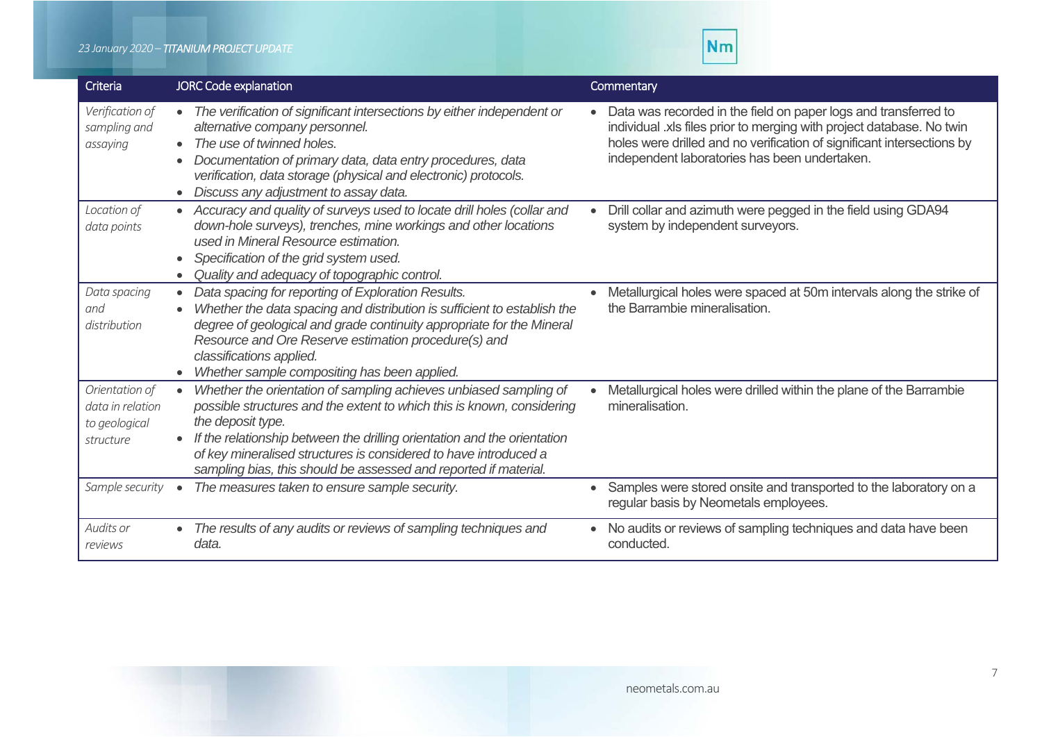#### *23 January 2020 – TITANIUM PROJECT UPDATE*

| Criteria                                                         | <b>JORC Code explanation</b>                                                                                                                                                                                                                                                                                                                                                                      | Commentary                                                                                                                                                                                                                                                          |
|------------------------------------------------------------------|---------------------------------------------------------------------------------------------------------------------------------------------------------------------------------------------------------------------------------------------------------------------------------------------------------------------------------------------------------------------------------------------------|---------------------------------------------------------------------------------------------------------------------------------------------------------------------------------------------------------------------------------------------------------------------|
| Verification of<br>sampling and<br>assaying                      | The verification of significant intersections by either independent or<br>$\bullet$<br>alternative company personnel.<br>The use of twinned holes.<br>Documentation of primary data, data entry procedures, data<br>verification, data storage (physical and electronic) protocols.<br>Discuss any adjustment to assay data.<br>$\bullet$                                                         | Data was recorded in the field on paper logs and transferred to<br>individual .xls files prior to merging with project database. No twin<br>holes were drilled and no verification of significant intersections by<br>independent laboratories has been undertaken. |
| Location of<br>data points                                       | Accuracy and quality of surveys used to locate drill holes (collar and<br>$\bullet$<br>down-hole surveys), trenches, mine workings and other locations<br>used in Mineral Resource estimation.<br>Specification of the grid system used.<br>Quality and adequacy of topographic control.                                                                                                          | Drill collar and azimuth were pegged in the field using GDA94<br>system by independent surveyors.                                                                                                                                                                   |
| Data spacing<br>and<br>distribution                              | Data spacing for reporting of Exploration Results.<br>$\bullet$<br>Whether the data spacing and distribution is sufficient to establish the<br>degree of geological and grade continuity appropriate for the Mineral<br>Resource and Ore Reserve estimation procedure(s) and<br>classifications applied.<br>Whether sample compositing has been applied.<br>$\bullet$                             | Metallurgical holes were spaced at 50m intervals along the strike of<br>the Barrambie mineralisation.                                                                                                                                                               |
| Orientation of<br>data in relation<br>to geological<br>structure | Whether the orientation of sampling achieves unbiased sampling of<br>$\bullet$<br>possible structures and the extent to which this is known, considering<br>the deposit type.<br>If the relationship between the drilling orientation and the orientation<br>of key mineralised structures is considered to have introduced a<br>sampling bias, this should be assessed and reported if material. | Metallurgical holes were drilled within the plane of the Barrambie<br>mineralisation.                                                                                                                                                                               |
| Sample security                                                  | The measures taken to ensure sample security.<br>$\bullet$                                                                                                                                                                                                                                                                                                                                        | Samples were stored onsite and transported to the laboratory on a<br>regular basis by Neometals employees.                                                                                                                                                          |
| Audits or<br>reviews                                             | The results of any audits or reviews of sampling techniques and<br>data.                                                                                                                                                                                                                                                                                                                          | No audits or reviews of sampling techniques and data have been<br>$\bullet$<br>conducted.                                                                                                                                                                           |

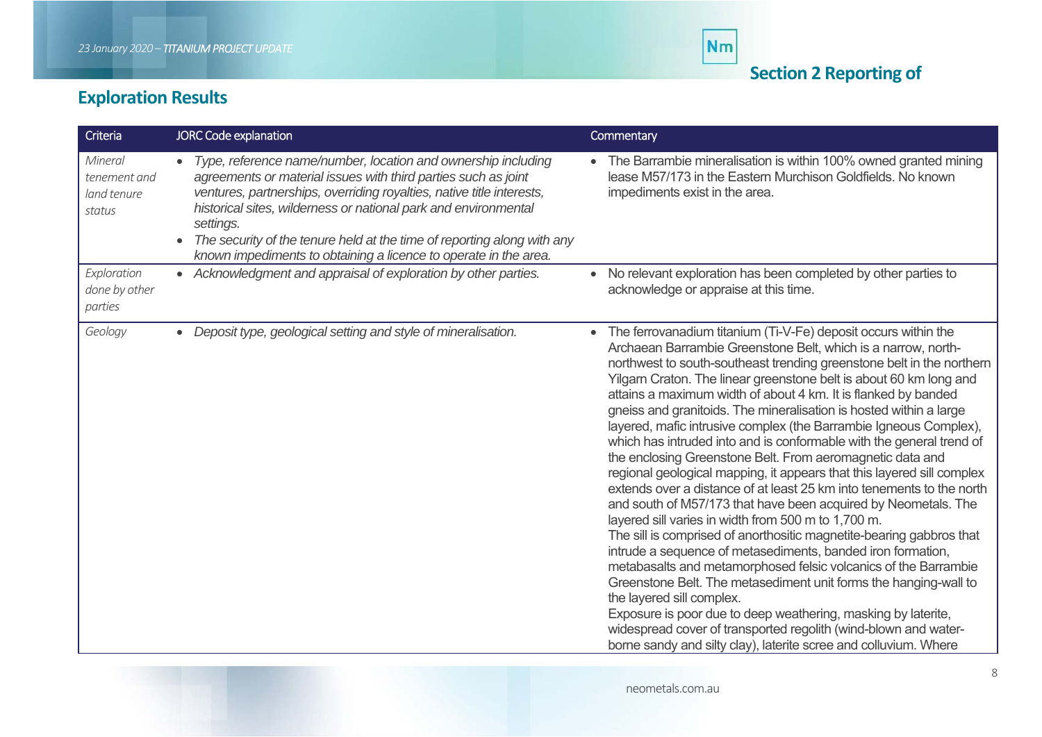# **Exploration Results**

| Criteria                                         | <b>JORC Code explanation</b>                                                                                                                                                                                                                                                                                                                                                                                                              | Commentary                                                                                                                                                                                                                                                                                                                                                                                                                                                                                                                                                                                                                                                                                                                                                                                                                                                                                                                                                                                                                                                                                                                                                                                                                                                                                                                                                                                                                        |
|--------------------------------------------------|-------------------------------------------------------------------------------------------------------------------------------------------------------------------------------------------------------------------------------------------------------------------------------------------------------------------------------------------------------------------------------------------------------------------------------------------|-----------------------------------------------------------------------------------------------------------------------------------------------------------------------------------------------------------------------------------------------------------------------------------------------------------------------------------------------------------------------------------------------------------------------------------------------------------------------------------------------------------------------------------------------------------------------------------------------------------------------------------------------------------------------------------------------------------------------------------------------------------------------------------------------------------------------------------------------------------------------------------------------------------------------------------------------------------------------------------------------------------------------------------------------------------------------------------------------------------------------------------------------------------------------------------------------------------------------------------------------------------------------------------------------------------------------------------------------------------------------------------------------------------------------------------|
| Mineral<br>tenement and<br>land tenure<br>status | • Type, reference name/number, location and ownership including<br>agreements or material issues with third parties such as joint<br>ventures, partnerships, overriding royalties, native title interests,<br>historical sites, wilderness or national park and environmental<br>settings.<br>The security of the tenure held at the time of reporting along with any<br>known impediments to obtaining a licence to operate in the area. | • The Barrambie mineralisation is within 100% owned granted mining<br>lease M57/173 in the Eastern Murchison Goldfields. No known<br>impediments exist in the area.                                                                                                                                                                                                                                                                                                                                                                                                                                                                                                                                                                                                                                                                                                                                                                                                                                                                                                                                                                                                                                                                                                                                                                                                                                                               |
| Exploration<br>done by other<br>parties          | • Acknowledgment and appraisal of exploration by other parties.                                                                                                                                                                                                                                                                                                                                                                           | • No relevant exploration has been completed by other parties to<br>acknowledge or appraise at this time.                                                                                                                                                                                                                                                                                                                                                                                                                                                                                                                                                                                                                                                                                                                                                                                                                                                                                                                                                                                                                                                                                                                                                                                                                                                                                                                         |
| Geology                                          | Deposit type, geological setting and style of mineralisation.<br>$\bullet$                                                                                                                                                                                                                                                                                                                                                                | • The ferrovanadium titanium (Ti-V-Fe) deposit occurs within the<br>Archaean Barrambie Greenstone Belt, which is a narrow, north-<br>northwest to south-southeast trending greenstone belt in the northern<br>Yilgarn Craton. The linear greenstone belt is about 60 km long and<br>attains a maximum width of about 4 km. It is flanked by banded<br>gneiss and granitoids. The mineralisation is hosted within a large<br>layered, mafic intrusive complex (the Barrambie Igneous Complex),<br>which has intruded into and is conformable with the general trend of<br>the enclosing Greenstone Belt. From aeromagnetic data and<br>regional geological mapping, it appears that this layered sill complex<br>extends over a distance of at least 25 km into tenements to the north<br>and south of M57/173 that have been acquired by Neometals. The<br>layered sill varies in width from 500 m to 1,700 m.<br>The sill is comprised of anorthositic magnetite-bearing gabbros that<br>intrude a sequence of metasediments, banded iron formation,<br>metabasalts and metamorphosed felsic volcanics of the Barrambie<br>Greenstone Belt. The metasediment unit forms the hanging-wall to<br>the layered sill complex.<br>Exposure is poor due to deep weathering, masking by laterite,<br>widespread cover of transported regolith (wind-blown and water-<br>borne sandy and silty clay), laterite scree and colluvium. Where |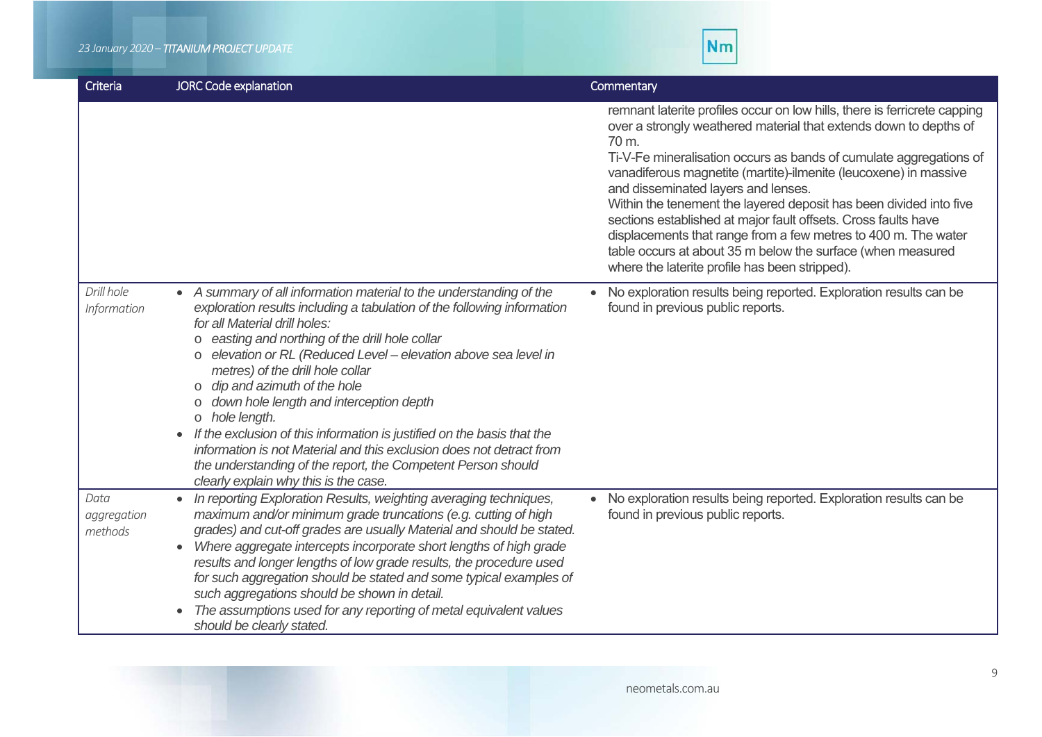| Criteria                         | <b>JORC Code explanation</b>                                                                                                                                                                                                                                                                                                                                                                                                                                                                                                                                                                                                                                                                                                                         | Commentary                                                                                                                                                                                                                                                                                                                                                                                                                                                                                                                                                                                                                                                          |
|----------------------------------|------------------------------------------------------------------------------------------------------------------------------------------------------------------------------------------------------------------------------------------------------------------------------------------------------------------------------------------------------------------------------------------------------------------------------------------------------------------------------------------------------------------------------------------------------------------------------------------------------------------------------------------------------------------------------------------------------------------------------------------------------|---------------------------------------------------------------------------------------------------------------------------------------------------------------------------------------------------------------------------------------------------------------------------------------------------------------------------------------------------------------------------------------------------------------------------------------------------------------------------------------------------------------------------------------------------------------------------------------------------------------------------------------------------------------------|
|                                  |                                                                                                                                                                                                                                                                                                                                                                                                                                                                                                                                                                                                                                                                                                                                                      | remnant laterite profiles occur on low hills, there is ferricrete capping<br>over a strongly weathered material that extends down to depths of<br>70 m.<br>Ti-V-Fe mineralisation occurs as bands of cumulate aggregations of<br>vanadiferous magnetite (martite)-ilmenite (leucoxene) in massive<br>and disseminated layers and lenses.<br>Within the tenement the layered deposit has been divided into five<br>sections established at major fault offsets. Cross faults have<br>displacements that range from a few metres to 400 m. The water<br>table occurs at about 35 m below the surface (when measured<br>where the laterite profile has been stripped). |
| Drill hole<br><b>Information</b> | A summary of all information material to the understanding of the<br>exploration results including a tabulation of the following information<br>for all Material drill holes:<br>easting and northing of the drill hole collar<br>$\circ$<br>elevation or RL (Reduced Level - elevation above sea level in<br>$\circ$<br>metres) of the drill hole collar<br>dip and azimuth of the hole<br>$\circ$<br>down hole length and interception depth<br>$\circ$<br>o hole length.<br>If the exclusion of this information is justified on the basis that the<br>$\bullet$<br>information is not Material and this exclusion does not detract from<br>the understanding of the report, the Competent Person should<br>clearly explain why this is the case. | No exploration results being reported. Exploration results can be<br>found in previous public reports.                                                                                                                                                                                                                                                                                                                                                                                                                                                                                                                                                              |
| Data<br>aggregation<br>methods   | In reporting Exploration Results, weighting averaging techniques,<br>maximum and/or minimum grade truncations (e.g. cutting of high<br>grades) and cut-off grades are usually Material and should be stated.<br>Where aggregate intercepts incorporate short lengths of high grade<br>$\bullet$<br>results and longer lengths of low grade results, the procedure used<br>for such aggregation should be stated and some typical examples of<br>such aggregations should be shown in detail.<br>The assumptions used for any reporting of metal equivalent values<br>should be clearly stated.                                                                                                                                                       | No exploration results being reported. Exploration results can be<br>found in previous public reports.                                                                                                                                                                                                                                                                                                                                                                                                                                                                                                                                                              |